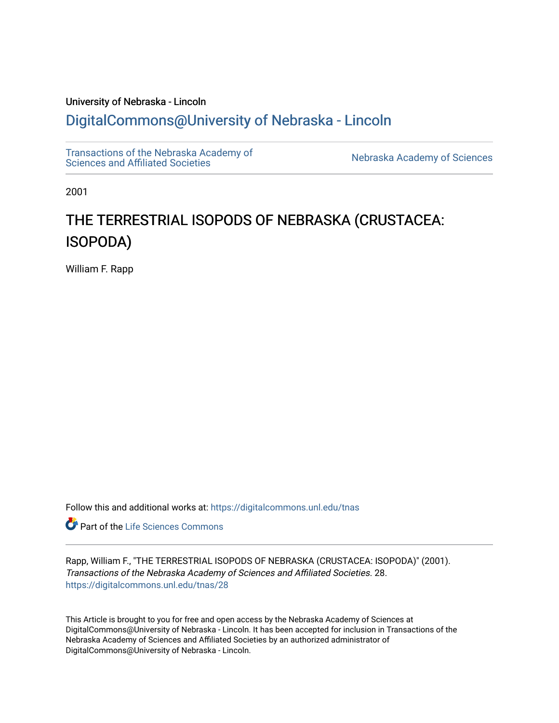# University of Nebraska - Lincoln [DigitalCommons@University of Nebraska - Lincoln](https://digitalcommons.unl.edu/)

[Transactions of the Nebraska Academy of](https://digitalcommons.unl.edu/tnas) 

Nebraska Academy of Sciences

2001

# THE TERRESTRIAL ISOPODS OF NEBRASKA (CRUSTACEA: ISOPODA)

William F. Rapp

Follow this and additional works at: [https://digitalcommons.unl.edu/tnas](https://digitalcommons.unl.edu/tnas?utm_source=digitalcommons.unl.edu%2Ftnas%2F28&utm_medium=PDF&utm_campaign=PDFCoverPages) 

**Part of the Life Sciences Commons** 

Rapp, William F., "THE TERRESTRIAL ISOPODS OF NEBRASKA (CRUSTACEA: ISOPODA)" (2001). Transactions of the Nebraska Academy of Sciences and Affiliated Societies. 28. [https://digitalcommons.unl.edu/tnas/28](https://digitalcommons.unl.edu/tnas/28?utm_source=digitalcommons.unl.edu%2Ftnas%2F28&utm_medium=PDF&utm_campaign=PDFCoverPages)

This Article is brought to you for free and open access by the Nebraska Academy of Sciences at DigitalCommons@University of Nebraska - Lincoln. It has been accepted for inclusion in Transactions of the Nebraska Academy of Sciences and Affiliated Societies by an authorized administrator of DigitalCommons@University of Nebraska - Lincoln.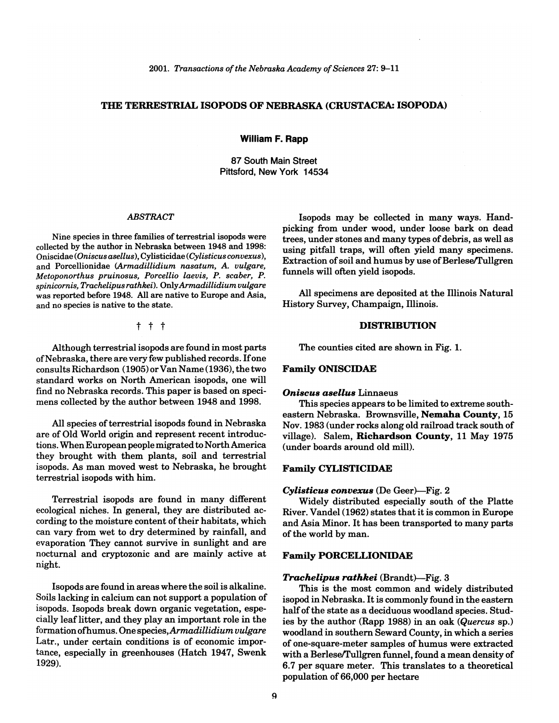# THE TERRESTRIAL ISOPODS OF NEBRASKA (CRUSTACEA: ISOPODA)

William F. Rapp

87 South Main Street Pittsford, New York 14534

#### *ABSTRACT*

Nine species in three families of terrestrial isopods were collected by the author in Nebraska between 1948 and 1998: Oniscidae *(Oniscus asellus),* Cylisticidae *(Cylisticus convexus),*  and Porcellionidae *(Armadillidium nasatum, A. vulgare, Metoponorthus pruinosus, Porcellio laevis,* P. *scaber,* P. *spinicornis, Trachelipus rathkei).* Only *Armadillidium vulgare*  was reported before 1948. All are native to Europe and Asia, and no species is native to the state.

t t t

Although terrestrial isopods are found in most parts of Nebraska, there are very few published records. If one consults Richardson (1905) or Van Name (1936), the two standard works on North American isopods, one will find no Nebraska records. This paper is based on specimens collected by the author between 1948 and 1998.

All species of terrestrial isopods found in Nebraska are of Old World origin and represent recent introductions. When European people migrated to North America they brought with them plants, soil and terrestrial isopods. As man moved west to Nebraska, he brought terrestrial isopods with him.

Terrestrial isopods are found in many different ecological niches. In general, they are distributed according to the moisture content of their habitats, which can vary from wet to dry determined by rainfall, and evaporation They cannot survive in sunlight and are nocturnal and cryptozonic and are mainly active at night.

Isopods are found in areas where the soil is alkaline. Soils lacking in calcium can not support a population of isopods. Isopods break down organic vegetation, especially leaflitter, and they play an important role in the formation ofhumus. One *species,Armadillidium vulgare*  Latr., under certain conditions is of economic importance, especially in greenhouses (Hatch 1947, Swenk 1929).

Isopods may be collected in many ways. Handpicking from under wood, under loose bark on dead trees, under stones and many types of debris, as well as using pitfall traps, will often yield many specimens. Extraction of soil and humus by use of Berlese/Tullgren funnels will often yield isopods.

All specimens are deposited at the Illinois Natural History Survey, Champaign, Illinois.

# DISTRIBUTION

The counties cited are shown in Fig. 1.

#### Family ONISCIDAE

#### *Oniscus asellus* Linnaeus

This species appears to be limited to extreme southeastern Nebraska. Brownsville, Nemaha County, 15 Nov. 1983 (under rocks along old railroad track south of village). Salem, Richardson County, 11 May 1975 (under boards around old mill).

# Family CYLISTICIDAE

#### *Cylisticus convexus* (De Geer)-Fig. 2

Widely distributed especially south of the Platte River. Vandel (1962) states that it is common in Europe and Asia Minor. It has been transported to many parts of the world by man.

# Family PORCELLIONIDAE

#### *Trachelipus rathkei* (Brandt)-Fig. 3

This is the most common and widely distributed isopod in Nebraska. It is commonly found in the eastern half of the state as a deciduous woodland species. Studies by the author (Rapp 1988) in an oak *(Quercus* sp.) woodland in southern Seward County, in which a series of one-square-meter samples of humus were extracted with a Berlese/Tullgren funnel, found a mean density of 6.7 per square meter. This translates to a theoretical population of 66,000 per hectare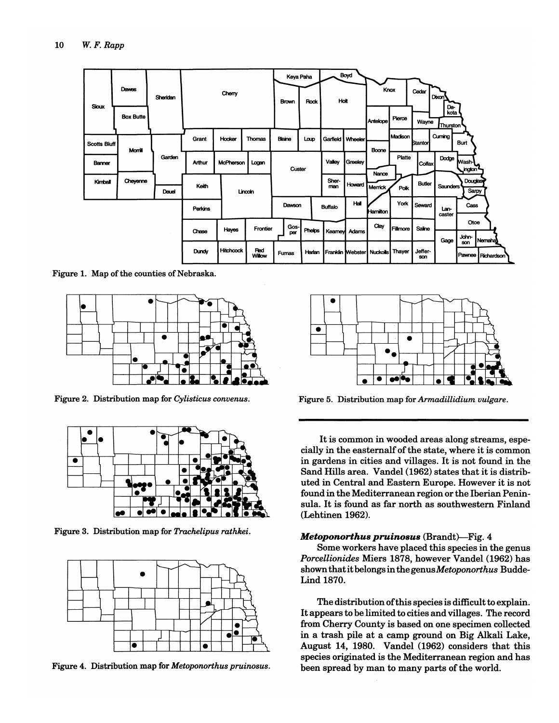

Figure 1. Map of the counties of Nebraska.



Figure 2. Distribution map for *Cylisticus convenus.* 



Figure 3. Distribution map for *Trachelipus rathkei.* 



Figure 4. Distribution map for *Metoponorthus pruinosus.* 



Figure 5. Distribution map for *Armadillidium vulgare .* 

It is common in wooded areas along streams, especially in the easternalf of the state, where it is common in gardens in cities and villages. It is not found in the Sand Hills area. Vandel (1962) states that it is distributed in Central and Eastern Europe. However it is not found in the Mediterranean region or the Iberian Peninsula. It is found as far north as southwestern Finland (Lehtinen 1962).

# Metoponorthus pruinosus (Brandt)-Fig. 4

Some workers have placed this species in the genus *Porcellionides* Miers 1878, however Vandel (1962) has shown that it belongs in the genus *Metoponorthus* Budde-Lind 1870.

The distribution ofthis species is difficult to explain. It appears to be limited to cities and villages. The record from Cherry County is based on one specimen collected in a trash pile at a camp ground on Big Alkali Lake, August 14, 1980. Vandel (1962) considers that this species originated is the Mediterranean region and has been spread by man to many parts of the world.